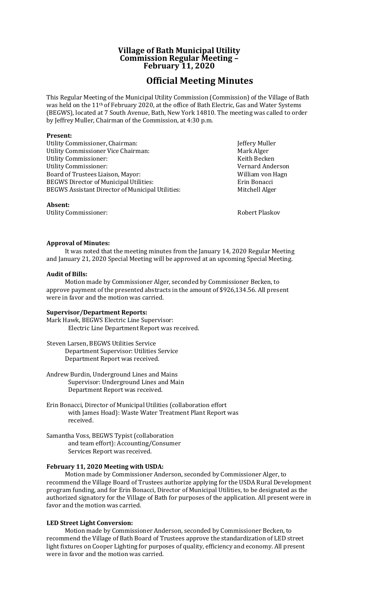# **Village of Bath Municipal Utility Commission Regular Meeting – February 11, 2020**

# **Official Meeting Minutes**

This Regular Meeting of the Municipal Utility Commission (Commission) of the Village of Bath was held on the 11th of February 2020, at the office of Bath Electric, Gas and Water Systems (BEGWS), located at 7 South Avenue, Bath, New York 14810. The meeting was called to order by Jeffrey Muller, Chairman of the Commission, at 4:30 p.m.

# **Present:**

Utility Commissioner, Chairman: Jeffery Muller Utility Commissioner Vice Chairman: Mark Alger Utility Commissioner: The Commissioner of the Commissioner of the Commissioner of the Commissioner of the Comm Utility Commissioner: Vernard Anderson Board of Trustees Liaison, Mayor: William von Hagn<br>BEGWS Director of Municipal Utilities: Erin Bonacci BEGWS Director of Municipal Utilities: BEGWS Assistant Director of Municipal Utilities: Mitchell Alger

#### **Absent:**

Utility Commissioner: The Commissioner Supervisor of the Robert Plaskov Robert Plaskov

# **Approval of Minutes:**

It was noted that the meeting minutes from the January 14, 2020 Regular Meeting and January 21, 2020 Special Meeting will be approved at an upcoming Special Meeting.

#### **Audit of Bills:**

Motion made by Commissioner Alger, seconded by Commissioner Becken, to approve payment of the presented abstracts in the amount of \$926,134.56. All present were in favor and the motion was carried.

# **Supervisor/Department Reports:**

Mark Hawk, BEGWS Electric Line Supervisor: Electric Line Department Report was received.

Steven Larsen, BEGWS Utilities Service Department Supervisor: Utilities Service Department Report was received.

Andrew Burdin, Underground Lines and Mains Supervisor: Underground Lines and Main Department Report was received.

Erin Bonacci, Director of Municipal Utilities (collaboration effort with James Hoad): Waste Water Treatment Plant Report was received.

Samantha Voss, BEGWS Typist (collaboration and team effort): Accounting/Consumer Services Report was received.

# **February 11, 2020 Meeting with USDA:**

Motion made by Commissioner Anderson, seconded by Commissioner Alger, to recommend the Village Board of Trustees authorize applying for the USDA Rural Development program funding, and for Erin Bonacci, Director of Municipal Utilities, to be designated as the authorized signatory for the Village of Bath for purposes of the application. All present were in favor and the motion was carried.

# **LED Street Light Conversion:**

Motion made by Commissioner Anderson, seconded by Commissioner Becken, to recommend the Village of Bath Board of Trustees approve the standardization of LED street light fixtures on Cooper Lighting for purposes of quality, efficiency and economy. All present were in favor and the motion was carried.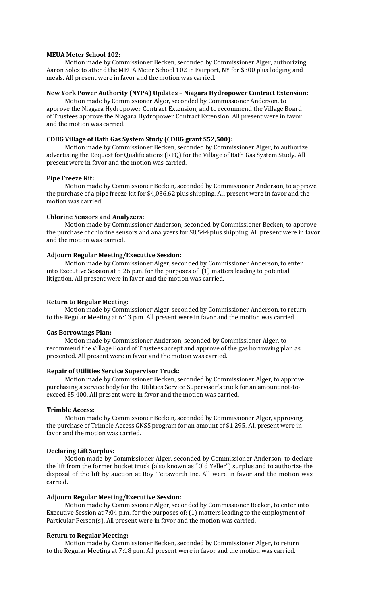# **MEUA Meter School 102:**

Motion made by Commissioner Becken, seconded by Commissioner Alger, authorizing Aaron Soles to attend the MEUA Meter School 102 in Fairport, NY for \$300 plus lodging and meals. All present were in favor and the motion was carried.

#### **New York Power Authority (NYPA) Updates – Niagara Hydropower Contract Extension:**

Motion made by Commissioner Alger, seconded by Commissioner Anderson, to approve the Niagara Hydropower Contract Extension, and to recommend the Village Board of Trustees approve the Niagara Hydropower Contract Extension. All present were in favor and the motion was carried.

#### **CDBG Village of Bath Gas System Study (CDBG grant \$52,500):**

Motion made by Commissioner Becken, seconded by Commissioner Alger, to authorize advertising the Request for Qualifications (RFQ) for the Village of Bath Gas System Study. All present were in favor and the motion was carried.

#### **Pipe Freeze Kit:**

Motion made by Commissioner Becken, seconded by Commissioner Anderson, to approve the purchase of a pipe freeze kit for \$4,036.62 plus shipping. All present were in favor and the motion was carried.

#### **Chlorine Sensors and Analyzers:**

Motion made by Commissioner Anderson, seconded by Commissioner Becken, to approve the purchase of chlorine sensors and analyzers for \$8,544 plus shipping. All present were in favor and the motion was carried.

#### **Adjourn Regular Meeting/Executive Session:**

Motion made by Commissioner Alger, seconded by Commissioner Anderson, to enter into Executive Session at 5:26 p.m. for the purposes of: (1) matters leading to potential litigation. All present were in favor and the motion was carried.

#### **Return to Regular Meeting:**

Motion made by Commissioner Alger, seconded by Commissioner Anderson, to return to the Regular Meeting at 6:13 p.m. All present were in favor and the motion was carried.

#### **Gas Borrowings Plan:**

Motion made by Commissioner Anderson, seconded by Commissioner Alger, to recommend the Village Board of Trustees accept and approve of the gas borrowing plan as presented. All present were in favor and the motion was carried.

#### **Repair of Utilities Service Supervisor Truck:**

Motion made by Commissioner Becken, seconded by Commissioner Alger, to approve purchasing a service body for the Utilities Service Supervisor's truck for an amount not-toexceed \$5,400. All present were in favor and the motion was carried.

#### **Trimble Access:**

Motion made by Commissioner Becken, seconded by Commissioner Alger, approving the purchase of Trimble Access GNSS program for an amount of \$1,295. All present were in favor and the motion was carried.

#### **Declaring Lift Surplus:**

Motion made by Commissioner Alger, seconded by Commissioner Anderson, to declare the lift from the former bucket truck (also known as "Old Yeller") surplus and to authorize the disposal of the lift by auction at Roy Teitsworth Inc. All were in favor and the motion was carried.

#### **Adjourn Regular Meeting/Executive Session:**

Motion made by Commissioner Alger, seconded by Commissioner Becken, to enter into Executive Session at 7:04 p.m. for the purposes of: (1) matters leading to the employment of Particular Person(s). All present were in favor and the motion was carried.

# **Return to Regular Meeting:**

Motion made by Commissioner Becken, seconded by Commissioner Alger, to return to the Regular Meeting at 7:18 p.m. All present were in favor and the motion was carried.